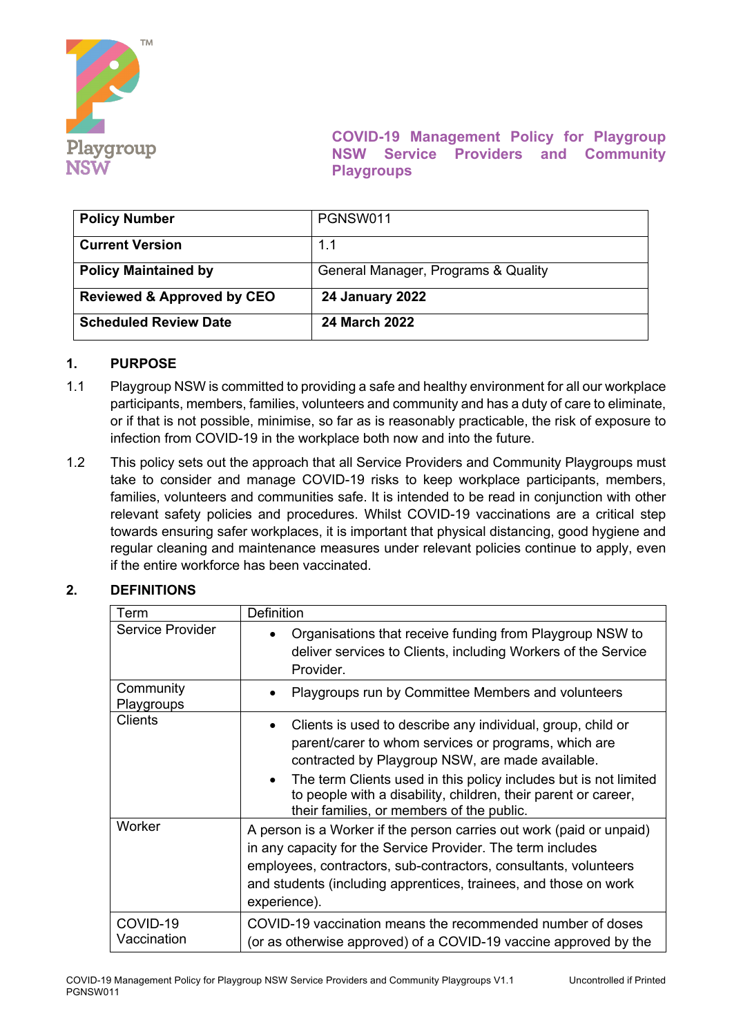

**COVID-19 Management Policy for Playgroup NSW Service Providers and Community Playgroups**

| <b>Policy Number</b>                  | PGNSW011                            |
|---------------------------------------|-------------------------------------|
| <b>Current Version</b>                | 1.1                                 |
| <b>Policy Maintained by</b>           | General Manager, Programs & Quality |
| <b>Reviewed &amp; Approved by CEO</b> | <b>24 January 2022</b>              |
| <b>Scheduled Review Date</b>          | <b>24 March 2022</b>                |

## **1. PURPOSE**

- 1.1 Playgroup NSW is committed to providing a safe and healthy environment for all our workplace participants, members, families, volunteers and community and has a duty of care to eliminate, or if that is not possible, minimise, so far as is reasonably practicable, the risk of exposure to infection from COVID-19 in the workplace both now and into the future.
- 1.2 This policy sets out the approach that all Service Providers and Community Playgroups must take to consider and manage COVID-19 risks to keep workplace participants, members, families, volunteers and communities safe. It is intended to be read in conjunction with other relevant safety policies and procedures. Whilst COVID-19 vaccinations are a critical step towards ensuring safer workplaces, it is important that physical distancing, good hygiene and regular cleaning and maintenance measures under relevant policies continue to apply, even if the entire workforce has been vaccinated.

# **2. DEFINITIONS**

| Term                    | <b>Definition</b>                                                                                                                                                                                                                                                                                                                                          |
|-------------------------|------------------------------------------------------------------------------------------------------------------------------------------------------------------------------------------------------------------------------------------------------------------------------------------------------------------------------------------------------------|
| Service Provider        | Organisations that receive funding from Playgroup NSW to<br>deliver services to Clients, including Workers of the Service<br>Provider.                                                                                                                                                                                                                     |
| Community<br>Playgroups | Playgroups run by Committee Members and volunteers                                                                                                                                                                                                                                                                                                         |
| Clients                 | Clients is used to describe any individual, group, child or<br>parent/carer to whom services or programs, which are<br>contracted by Playgroup NSW, are made available.<br>The term Clients used in this policy includes but is not limited<br>to people with a disability, children, their parent or career,<br>their families, or members of the public. |
| Worker                  | A person is a Worker if the person carries out work (paid or unpaid)<br>in any capacity for the Service Provider. The term includes<br>employees, contractors, sub-contractors, consultants, volunteers<br>and students (including apprentices, trainees, and those on work<br>experience).                                                                |
| COVID-19<br>Vaccination | COVID-19 vaccination means the recommended number of doses<br>(or as otherwise approved) of a COVID-19 vaccine approved by the                                                                                                                                                                                                                             |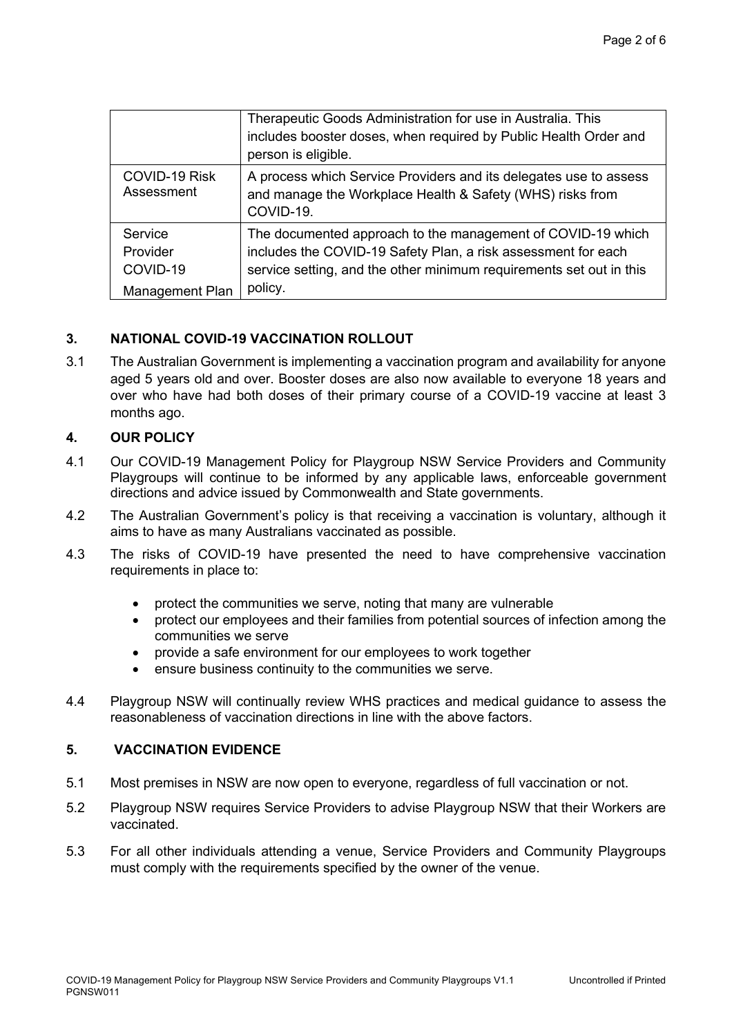|                                 | Therapeutic Goods Administration for use in Australia. This<br>includes booster doses, when required by Public Health Order and<br>person is eligible.                                              |
|---------------------------------|-----------------------------------------------------------------------------------------------------------------------------------------------------------------------------------------------------|
| COVID-19 Risk<br>Assessment     | A process which Service Providers and its delegates use to assess<br>and manage the Workplace Health & Safety (WHS) risks from<br>COVID-19.                                                         |
| Service<br>Provider<br>COVID-19 | The documented approach to the management of COVID-19 which<br>includes the COVID-19 Safety Plan, a risk assessment for each<br>service setting, and the other minimum requirements set out in this |
| Management Plan                 | policy.                                                                                                                                                                                             |

## **3. NATIONAL COVID-19 VACCINATION ROLLOUT**

3.1 The Australian Government is implementing a vaccination program and availability for anyone aged 5 years old and over. Booster doses are also now available to everyone 18 years and over who have had both doses of their primary course of a COVID-19 vaccine at least 3 months ago.

### **4. OUR POLICY**

- 4.1 Our COVID-19 Management Policy for Playgroup NSW Service Providers and Community Playgroups will continue to be informed by any applicable laws, enforceable government directions and advice issued by Commonwealth and State governments.
- 4.2 The Australian Government's policy is that receiving a vaccination is voluntary, although it aims to have as many Australians vaccinated as possible.
- 4.3 The risks of COVID-19 have presented the need to have comprehensive vaccination requirements in place to:
	- protect the communities we serve, noting that many are vulnerable
	- protect our employees and their families from potential sources of infection among the communities we serve
	- provide a safe environment for our employees to work together
	- ensure business continuity to the communities we serve.
- 4.4 Playgroup NSW will continually review WHS practices and medical guidance to assess the reasonableness of vaccination directions in line with the above factors.

#### **5. VACCINATION EVIDENCE**

- 5.1 Most premises in NSW are now open to everyone, regardless of full vaccination or not.
- 5.2 Playgroup NSW requires Service Providers to advise Playgroup NSW that their Workers are vaccinated.
- 5.3 For all other individuals attending a venue, Service Providers and Community Playgroups must comply with the requirements specified by the owner of the venue.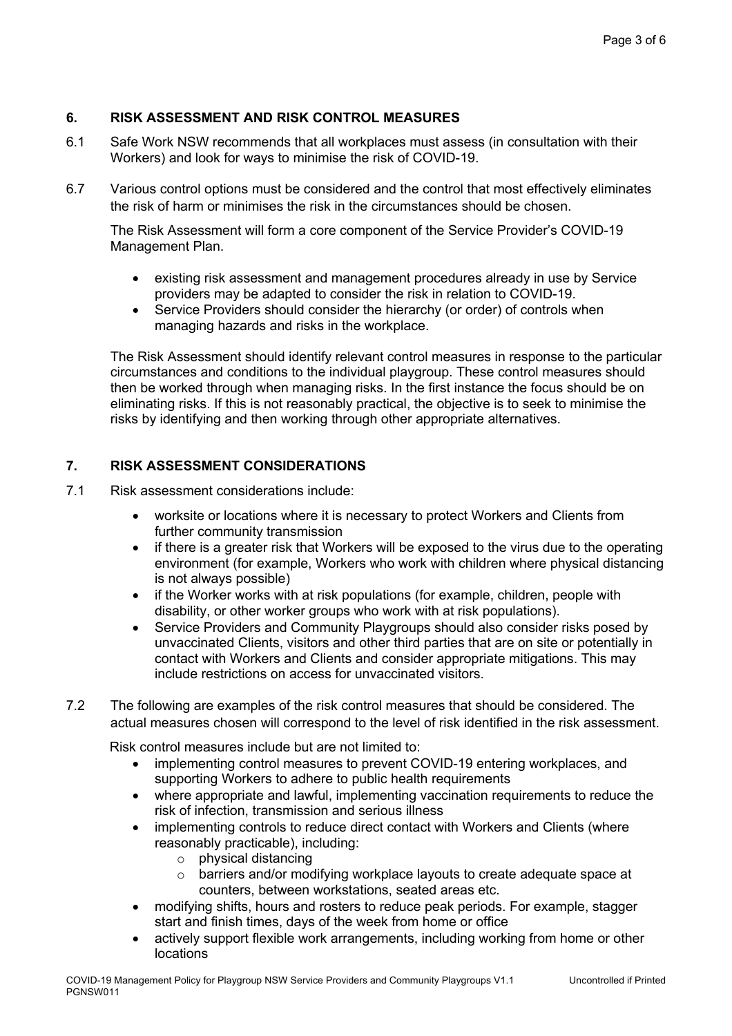# **6. RISK ASSESSMENT AND RISK CONTROL MEASURES**

- 6.1 Safe Work NSW recommends that all workplaces must assess (in consultation with their Workers) and look for ways to minimise the risk of COVID-19.
- 6.7 Various control options must be considered and the control that most effectively eliminates the risk of harm or minimises the risk in the circumstances should be chosen.

The Risk Assessment will form a core component of the Service Provider's COVID-19 Management Plan.

- existing risk assessment and management procedures already in use by Service providers may be adapted to consider the risk in relation to COVID-19.
- Service Providers should consider the hierarchy (or order) of controls when managing hazards and risks in the workplace.

The Risk Assessment should identify relevant control measures in response to the particular circumstances and conditions to the individual playgroup. These control measures should then be worked through when managing risks. In the first instance the focus should be on eliminating risks. If this is not reasonably practical, the objective is to seek to minimise the risks by identifying and then working through other appropriate alternatives.

# **7. RISK ASSESSMENT CONSIDERATIONS**

- 7.1 Risk assessment considerations include:
	- worksite or locations where it is necessary to protect Workers and Clients from further community transmission
	- if there is a greater risk that Workers will be exposed to the virus due to the operating environment (for example, Workers who work with children where physical distancing is not always possible)
	- if the Worker works with at risk populations (for example, children, people with disability, or other worker groups who work with at risk populations).
	- Service Providers and Community Playgroups should also consider risks posed by unvaccinated Clients, visitors and other third parties that are on site or potentially in contact with Workers and Clients and consider appropriate mitigations. This may include restrictions on access for unvaccinated visitors.
- 7.2 The following are examples of the risk control measures that should be considered. The actual measures chosen will correspond to the level of risk identified in the risk assessment.

Risk control measures include but are not limited to:

- implementing control measures to prevent COVID-19 entering workplaces, and supporting Workers to adhere to public health requirements
- where appropriate and lawful, implementing vaccination requirements to reduce the risk of infection, transmission and serious illness
- implementing controls to reduce direct contact with Workers and Clients (where reasonably practicable), including:
	- o physical distancing
	- o barriers and/or modifying workplace layouts to create adequate space at counters, between workstations, seated areas etc.
- modifying shifts, hours and rosters to reduce peak periods. For example, stagger start and finish times, days of the week from home or office
- actively support flexible work arrangements, including working from home or other locations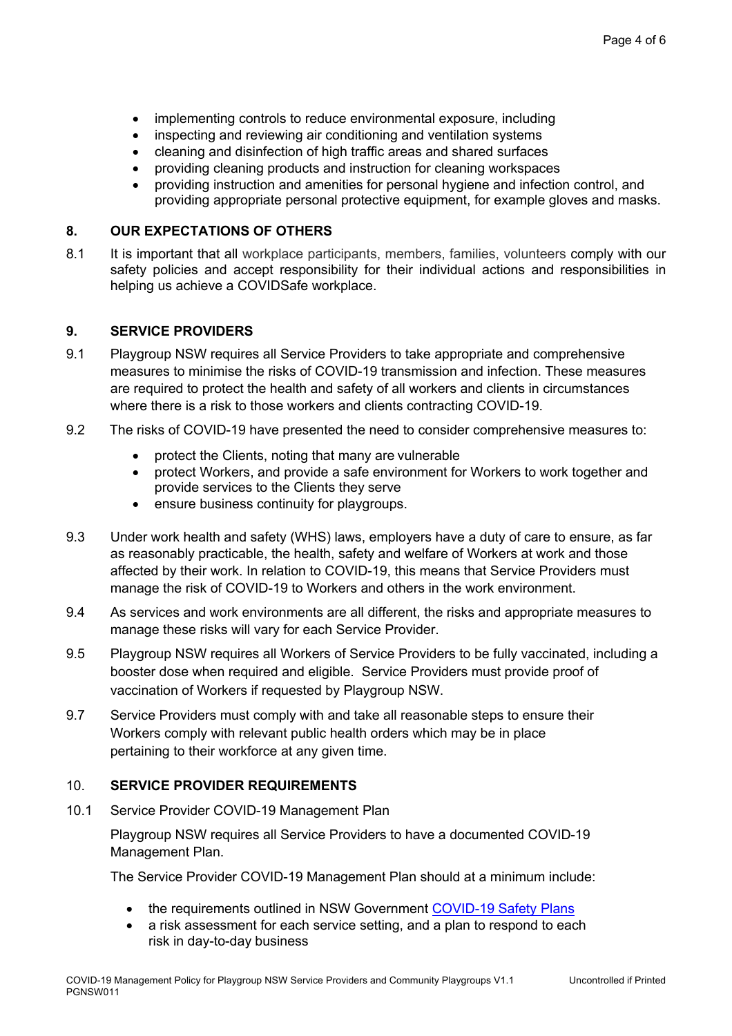- implementing controls to reduce environmental exposure, including
- inspecting and reviewing air conditioning and ventilation systems
- cleaning and disinfection of high traffic areas and shared surfaces
- providing cleaning products and instruction for cleaning workspaces
- providing instruction and amenities for personal hygiene and infection control, and providing appropriate personal protective equipment, for example gloves and masks.

### **8. OUR EXPECTATIONS OF OTHERS**

8.1 It is important that all workplace participants, members, families, volunteers comply with our safety policies and accept responsibility for their individual actions and responsibilities in helping us achieve a COVIDSafe workplace.

### **9. SERVICE PROVIDERS**

- 9.1 Playgroup NSW requires all Service Providers to take appropriate and comprehensive measures to minimise the risks of COVID-19 transmission and infection. These measures are required to protect the health and safety of all workers and clients in circumstances where there is a risk to those workers and clients contracting COVID-19.
- 9.2 The risks of COVID-19 have presented the need to consider comprehensive measures to:
	- protect the Clients, noting that many are vulnerable
	- protect Workers, and provide a safe environment for Workers to work together and provide services to the Clients they serve
	- ensure business continuity for playgroups.
- 9.3 Under work health and safety (WHS) laws, employers have a duty of care to ensure, as far as reasonably practicable, the health, safety and welfare of Workers at work and those affected by their work. In relation to COVID-19, this means that Service Providers must manage the risk of COVID-19 to Workers and others in the work environment.
- 9.4 As services and work environments are all different, the risks and appropriate measures to manage these risks will vary for each Service Provider.
- 9.5 Playgroup NSW requires all Workers of Service Providers to be fully vaccinated, including a booster dose when required and eligible. Service Providers must provide proof of vaccination of Workers if requested by Playgroup NSW.
- 9.7 Service Providers must comply with and take all reasonable steps to ensure their Workers comply with relevant public health orders which may be in place pertaining to their workforce at any given time.

#### 10. **SERVICE PROVIDER REQUIREMENTS**

10.1 Service Provider COVID-19 Management Plan

Playgroup NSW requires all Service Providers to have a documented COVID-19 Management Plan.

The Service Provider COVID-19 Management Plan should at a minimum include:

- the requirements outlined in NSW Government COVID-19 Safety Plans
- a risk assessment for each service setting, and a plan to respond to each risk in day-to-day business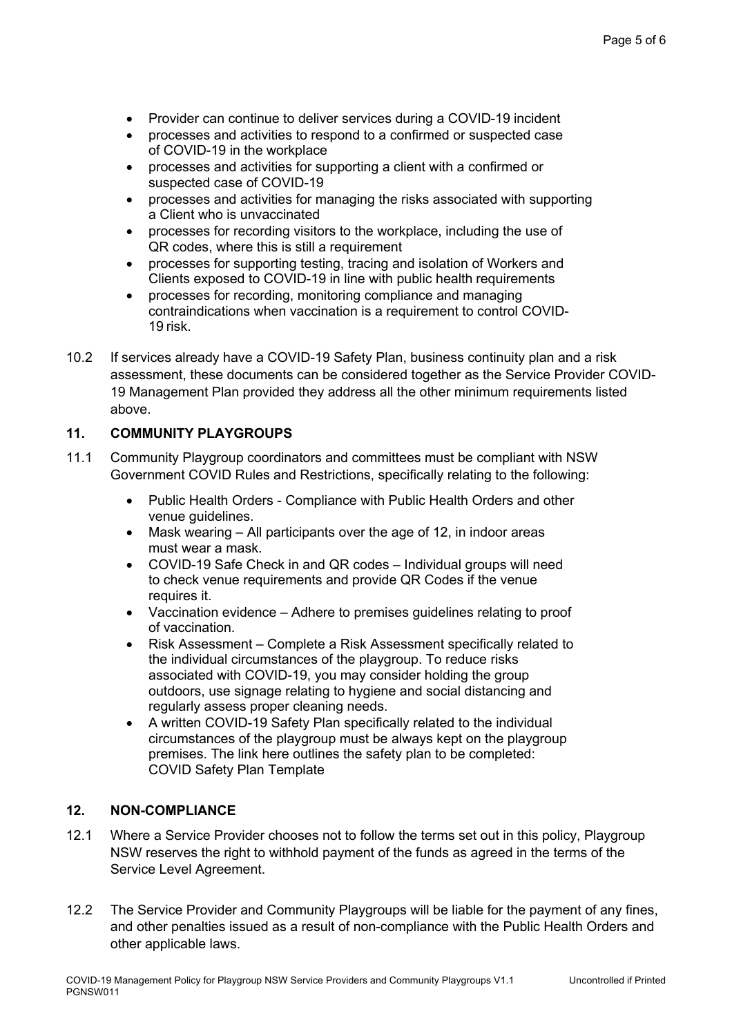- Provider can continue to deliver services during a COVID-19 incident
- processes and activities to respond to a confirmed or suspected case of COVID-19 in the workplace
- processes and activities for supporting a client with a confirmed or suspected case of COVID-19
- processes and activities for managing the risks associated with supporting a Client who is unvaccinated
- processes for recording visitors to the workplace, including the use of QR codes, where this is still a requirement
- processes for supporting testing, tracing and isolation of Workers and Clients exposed to COVID-19 in line with public health requirements
- processes for recording, monitoring compliance and managing contraindications when vaccination is a requirement to control COVID-19 risk.
- 10.2 If services already have a COVID-19 Safety Plan, business continuity plan and a risk assessment, these documents can be considered together as the Service Provider COVID-19 Management Plan provided they address all the other minimum requirements listed above.

## **11. COMMUNITY PLAYGROUPS**

- 11.1 Community Playgroup coordinators and committees must be compliant with NSW Government COVID Rules and Restrictions, specifically relating to the following:
	- Public Health Orders Compliance with Public Health Orders and other venue guidelines.
	- Mask wearing All participants over the age of 12, in indoor areas must wear a mask.
	- COVID-19 Safe Check in and QR codes Individual groups will need to check venue requirements and provide QR Codes if the venue requires it.
	- Vaccination evidence Adhere to premises guidelines relating to proof of vaccination.
	- Risk Assessment Complete a Risk Assessment specifically related to the individual circumstances of the playgroup. To reduce risks associated with COVID-19, you may consider holding the group outdoors, use signage relating to hygiene and social distancing and regularly assess proper cleaning needs.
	- A written COVID-19 Safety Plan specifically related to the individual circumstances of the playgroup must be always kept on the playgroup premises. The link here outlines the safety plan to be completed: COVID Safety Plan Template

### **12. NON-COMPLIANCE**

- 12.1 Where a Service Provider chooses not to follow the terms set out in this policy, Playgroup NSW reserves the right to withhold payment of the funds as agreed in the terms of the Service Level Agreement.
- 12.2 The Service Provider and Community Playgroups will be liable for the payment of any fines, and other penalties issued as a result of non-compliance with the Public Health Orders and other applicable laws.